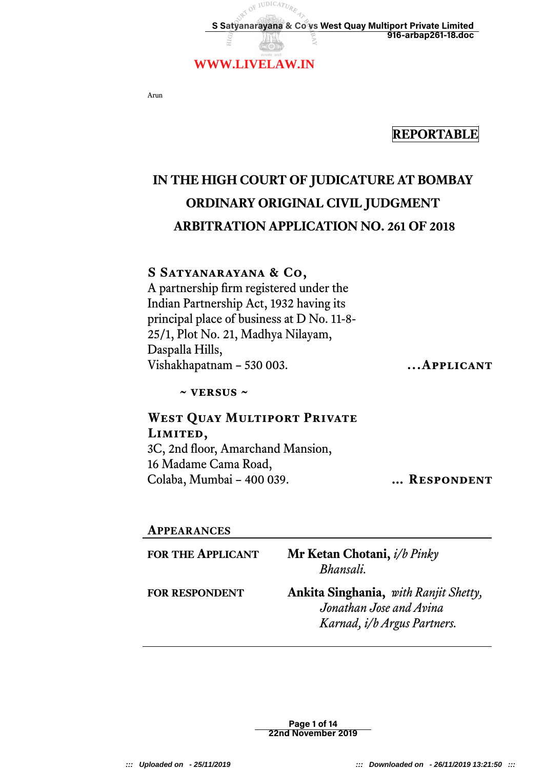

Arun

## **REPORTABLE**

# **IN THE HIGH COURT OF JUDICATURE AT BOMBAY ORDINARY ORIGINAL CIVIL JUDGMENT ARBITRATION APPLICATION NO. 261 OF 2018**

### **S Satyanarayana & Co,**

A partnership frm registered under the Indian Partnership Act, 1932 having its principal place of business at D No. 11-8- 25/1, Plot No. 21, Madhya Nilayam, Daspalla Hills, Vishakhapatnam – 530 003. **...Applicant** 

**~ versus ~**

# **West Quay Multiport Private Limited,**

3C, 2nd floor, Amarchand Mansion, 16 Madame Cama Road, Colaba, Mumbai – 400 039. **…… RESPONDENT** 

#### **APPEARANCES**

| <b>FOR THE APPLICANT</b> | Mr Ketan Chotani, i/b Pinky<br>Bhansali.                                                        |
|--------------------------|-------------------------------------------------------------------------------------------------|
| <b>FOR RESPONDENT</b>    | Ankita Singhania, with Ranjit Shetty,<br>Jonathan Jose and Avina<br>Karnad, i/b Argus Partners. |

Page 1 of 14 22nd November 2019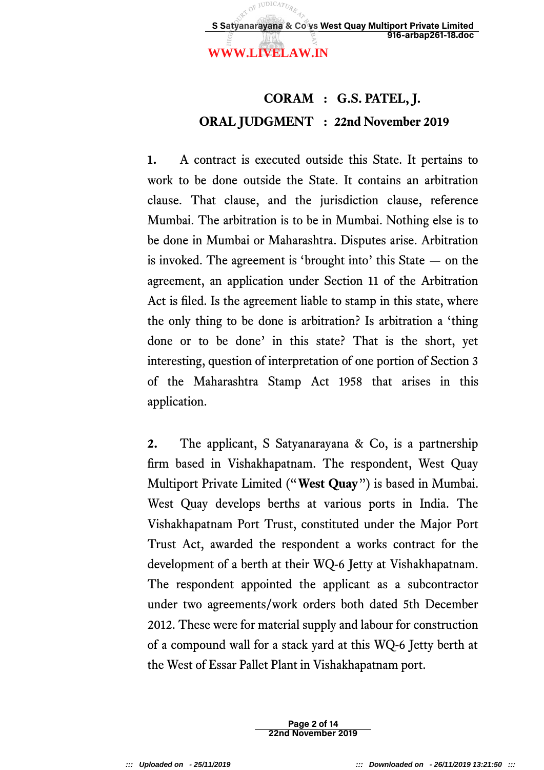### **WWW.LIVELAW.IN**

# **CORAM : G.S. PATEL, J. ORAL JUDGMENT : 22nd November 2019**

**1.** A contract is executed outside this State. It pertains to work to be done outside the State. It contains an arbitration clause. That clause, and the jurisdiction clause, reference Mumbai. The arbitration is to be in Mumbai. Nothing else is to be done in Mumbai or Maharashtra. Disputes arise. Arbitration is invoked. The agreement is 'brought into' this State — on the agreement, an application under Section 11 of the Arbitration Act is fled. Is the agreement liable to stamp in this state, where the only thing to be done is arbitration? Is arbitration a 'thing done or to be done' in this state? That is the short, yet interesting, question of interpretation of one portion of Section 3 of the Maharashtra Stamp Act 1958 that arises in this application.

**2.** The applicant, S Satyanarayana & Co, is a partnership firm based in Vishakhapatnam. The respondent, West Quay Multiport Private Limited ("**West Quay**") is based in Mumbai. West Quay develops berths at various ports in India. The Vishakhapatnam Port Trust, constituted under the Major Port Trust Act, awarded the respondent a works contract for the development of a berth at their WQ-6 Jetty at Vishakhapatnam. The respondent appointed the applicant as a subcontractor under two agreements/work orders both dated 5th December 2012. These were for material supply and labour for construction of a compound wall for a stack yard at this WQ-6 Jetty berth at the West of Essar Pallet Plant in Vishakhapatnam port.

> Page 2 of 14 22nd November 2019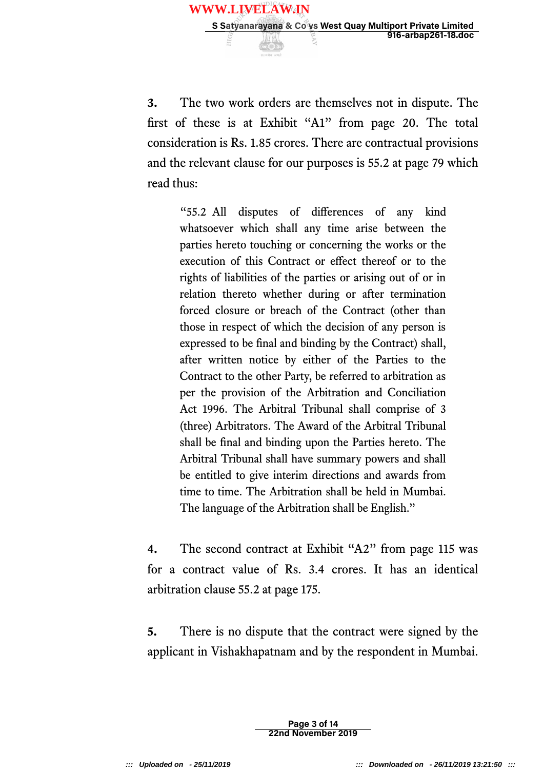

**3.** The two work orders are themselves not in dispute. The frst of these is at Exhibit "A1" from page 20. The total consideration is Rs. 1.85 crores. There are contractual provisions and the relevant clause for our purposes is 55.2 at page 79 which read thus:

"55.2 All disputes of diferences of any kind whatsoever which shall any time arise between the parties hereto touching or concerning the works or the execution of this Contract or efect thereof or to the rights of liabilities of the parties or arising out of or in relation thereto whether during or after termination forced closure or breach of the Contract (other than those in respect of which the decision of any person is expressed to be fnal and binding by the Contract) shall, after written notice by either of the Parties to the Contract to the other Party, be referred to arbitration as per the provision of the Arbitration and Conciliation Act 1996. The Arbitral Tribunal shall comprise of 3 (three) Arbitrators. The Award of the Arbitral Tribunal shall be fnal and binding upon the Parties hereto. The Arbitral Tribunal shall have summary powers and shall be entitled to give interim directions and awards from time to time. The Arbitration shall be held in Mumbai. The language of the Arbitration shall be English."

**4.** The second contract at Exhibit "A2" from page 115 was for a contract value of Rs. 3.4 crores. It has an identical arbitration clause 55.2 at page 175.

**5.** There is no dispute that the contract were signed by the applicant in Vishakhapatnam and by the respondent in Mumbai.

> Page 3 of 14 22nd November 2019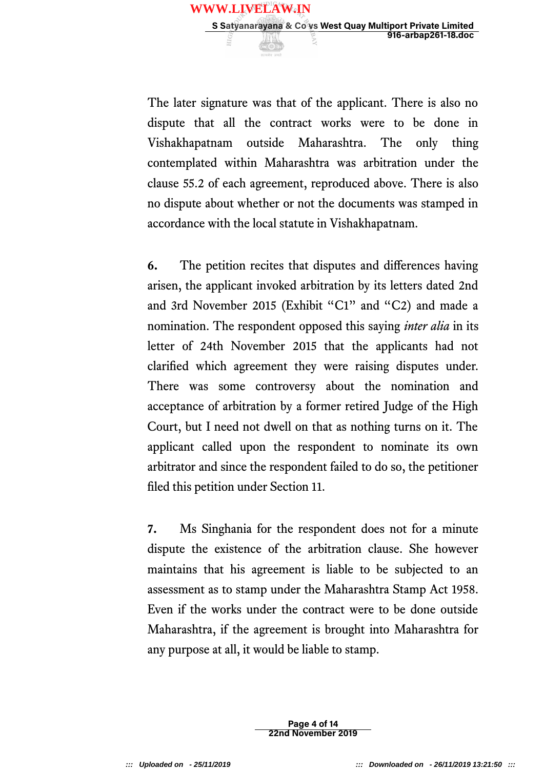

The later signature was that of the applicant. There is also no dispute that all the contract works were to be done in Vishakhapatnam outside Maharashtra. The only thing contemplated within Maharashtra was arbitration under the clause 55.2 of each agreement, reproduced above. There is also no dispute about whether or not the documents was stamped in accordance with the local statute in Vishakhapatnam.

**6.** The petition recites that disputes and diferences having arisen, the applicant invoked arbitration by its letters dated 2nd and 3rd November 2015 (Exhibit "C1" and "C2) and made a nomination. The respondent opposed this saying *inter alia* in its letter of 24th November 2015 that the applicants had not clarifed which agreement they were raising disputes under. There was some controversy about the nomination and acceptance of arbitration by a former retired Judge of the High Court, but I need not dwell on that as nothing turns on it. The applicant called upon the respondent to nominate its own arbitrator and since the respondent failed to do so, the petitioner fled this petition under Section 11.

**7.** Ms Singhania for the respondent does not for a minute dispute the existence of the arbitration clause. She however maintains that his agreement is liable to be subjected to an assessment as to stamp under the Maharashtra Stamp Act 1958. Even if the works under the contract were to be done outside Maharashtra, if the agreement is brought into Maharashtra for any purpose at all, it would be liable to stamp.

> Page 4 of 14 22nd November 2019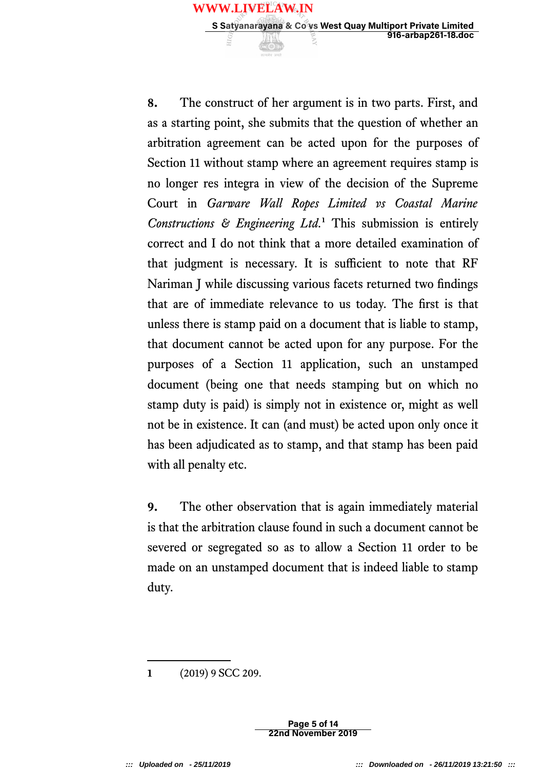**8.** The construct of her argument is in two parts. First, and as a starting point, she submits that the question of whether an arbitration agreement can be acted upon for the purposes of Section 11 without stamp where an agreement requires stamp is no longer res integra in view of the decision of the Supreme Court in *Garware Wall Ropes Limited vs Coastal Marine Constructions & Engineering Ltd.***<sup>1</sup>** This submission is entirely correct and I do not think that a more detailed examination of that judgment is necessary. It is sufficient to note that RF Nariman J while discussing various facets returned two fndings that are of immediate relevance to us today. The frst is that unless there is stamp paid on a document that is liable to stamp, that document cannot be acted upon for any purpose. For the purposes of a Section 11 application, such an unstamped document (being one that needs stamping but on which no stamp duty is paid) is simply not in existence or, might as well not be in existence. It can (and must) be acted upon only once it has been adjudicated as to stamp, and that stamp has been paid with all penalty etc.

**9.** The other observation that is again immediately material is that the arbitration clause found in such a document cannot be severed or segregated so as to allow a Section 11 order to be made on an unstamped document that is indeed liable to stamp duty.

**1** (2019) 9 SCC 209.

Page 5 of 14 22nd November 2019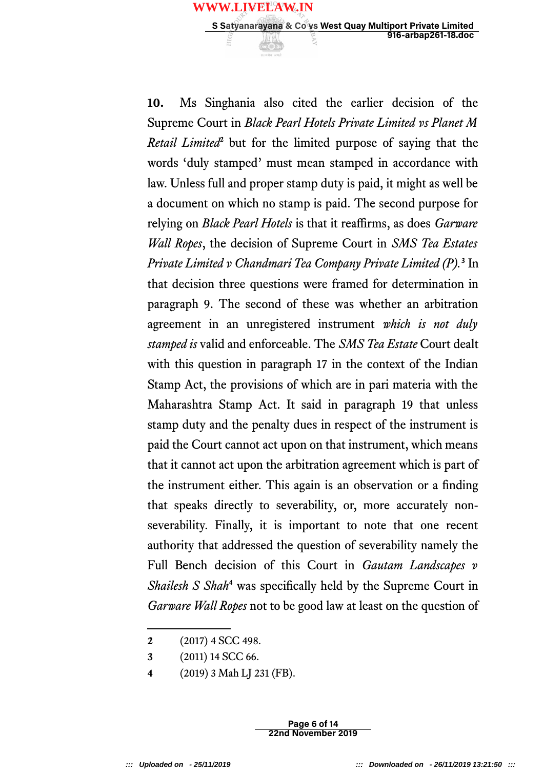

**<sup>2</sup>** (2017) 4 SCC 498.

Page 6 of 14 22nd November 2019

**<sup>3</sup>** (2011) 14 SCC 66.

**<sup>4</sup>** (2019) 3 Mah LJ 231 (FB).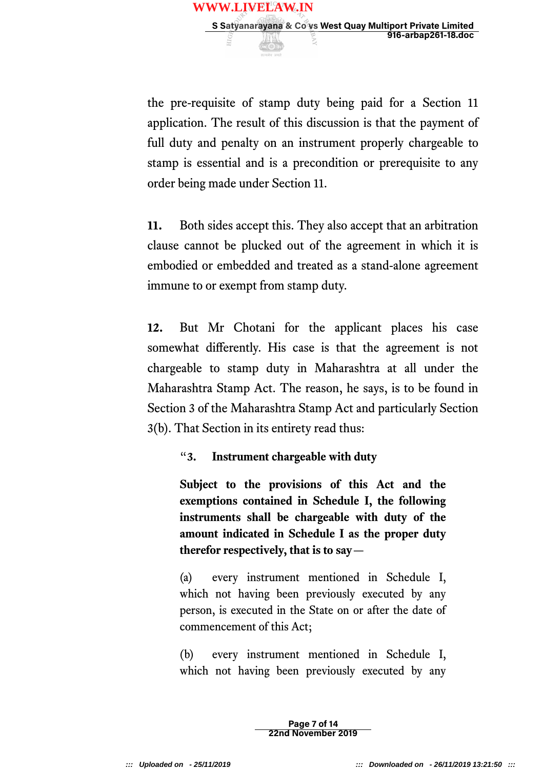

the pre-requisite of stamp duty being paid for a Section 11 application. The result of this discussion is that the payment of full duty and penalty on an instrument properly chargeable to stamp is essential and is a precondition or prerequisite to any order being made under Section 11.

**11.** Both sides accept this. They also accept that an arbitration clause cannot be plucked out of the agreement in which it is embodied or embedded and treated as a stand-alone agreement immune to or exempt from stamp duty.

**12.** But Mr Chotani for the applicant places his case somewhat diferently. His case is that the agreement is not chargeable to stamp duty in Maharashtra at all under the Maharashtra Stamp Act. The reason, he says, is to be found in Section 3 of the Maharashtra Stamp Act and particularly Section 3(b). That Section in its entirety read thus:

### "**3. Instrument chargeable with duty**

**Subject to the provisions of this Act and the exemptions contained in Schedule I, the following instruments shall be chargeable with duty of the amount indicated in Schedule I as the proper duty therefor respectively, that is to say**—

(a) every instrument mentioned in Schedule I, which not having been previously executed by any person, is executed in the State on or after the date of commencement of this Act;

(b) every instrument mentioned in Schedule I, which not having been previously executed by any

> Page 7 of 14 22nd November 2019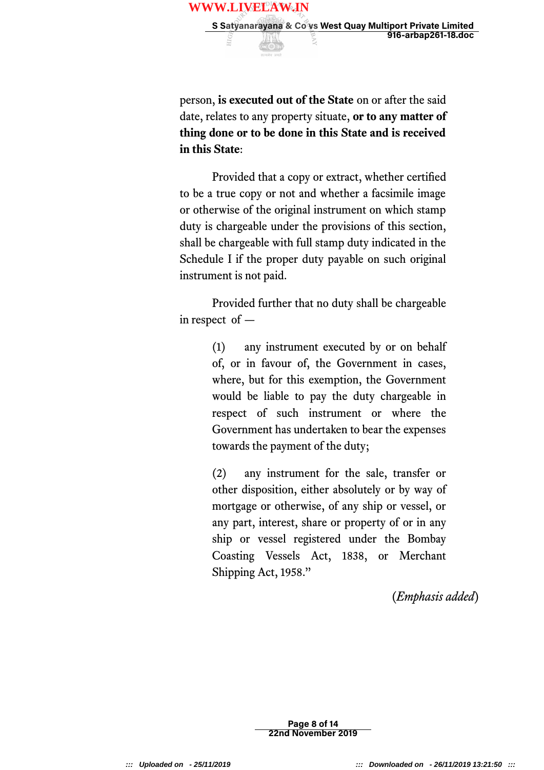

person, **is executed out of the State** on or after the said date, relates to any property situate, **or to any matter of thing done or to be done in this State and is received in this State**:

Provided that a copy or extract, whether certifed to be a true copy or not and whether a facsimile image or otherwise of the original instrument on which stamp duty is chargeable under the provisions of this section, shall be chargeable with full stamp duty indicated in the Schedule I if the proper duty payable on such original instrument is not paid.

Provided further that no duty shall be chargeable in respect of —

> (1) any instrument executed by or on behalf of, or in favour of, the Government in cases, where, but for this exemption, the Government would be liable to pay the duty chargeable in respect of such instrument or where the Government has undertaken to bear the expenses towards the payment of the duty;

> (2) any instrument for the sale, transfer or other disposition, either absolutely or by way of mortgage or otherwise, of any ship or vessel, or any part, interest, share or property of or in any ship or vessel registered under the Bombay Coasting Vessels Act, 1838, or Merchant Shipping Act, 1958."

> > (*Emphasis added*)

Page 8 of 14 22nd November 2019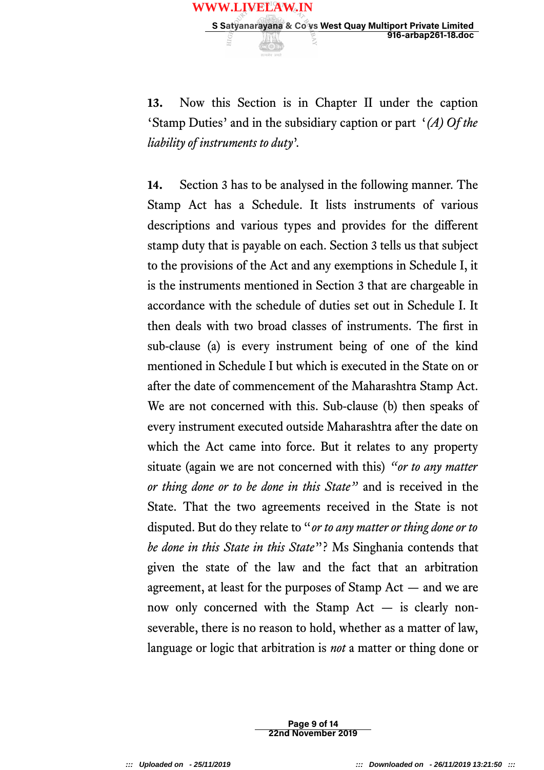

**14.** Section 3 has to be analysed in the following manner. The Stamp Act has a Schedule. It lists instruments of various descriptions and various types and provides for the diferent stamp duty that is payable on each. Section 3 tells us that subject to the provisions of the Act and any exemptions in Schedule I, it is the instruments mentioned in Section 3 that are chargeable in accordance with the schedule of duties set out in Schedule I. It then deals with two broad classes of instruments. The frst in sub-clause (a) is every instrument being of one of the kind mentioned in Schedule I but which is executed in the State on or after the date of commencement of the Maharashtra Stamp Act. We are not concerned with this. Sub-clause (b) then speaks of every instrument executed outside Maharashtra after the date on which the Act came into force. But it relates to any property situate (again we are not concerned with this) *"or to any matter or thing done or to be done in this State"* and is received in the State. That the two agreements received in the State is not disputed. But do they relate to "*or to any matter or thing done or to be done in this State in this State*"? Ms Singhania contends that given the state of the law and the fact that an arbitration agreement, at least for the purposes of Stamp Act — and we are now only concerned with the Stamp Act — is clearly nonseverable, there is no reason to hold, whether as a matter of law, language or logic that arbitration is *not* a matter or thing done or

> Page 9 of 14 22nd November 2019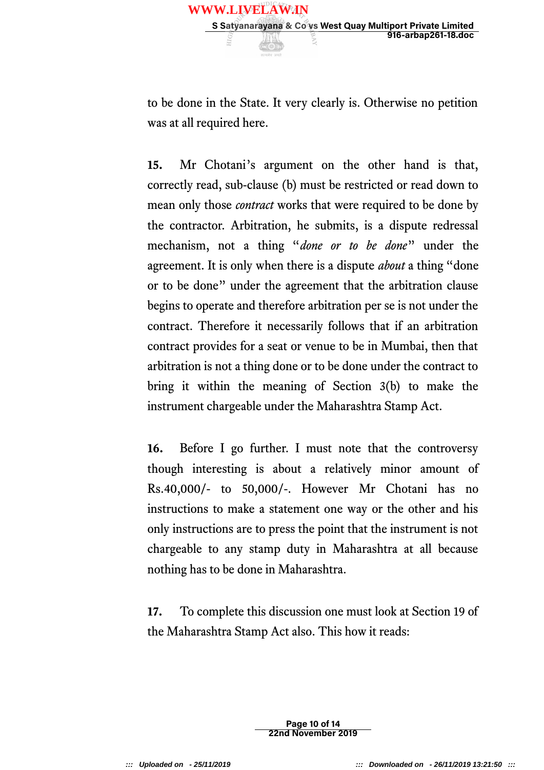to be done in the State. It very clearly is. Otherwise no petition was at all required here.

**15.** Mr Chotani's argument on the other hand is that, correctly read, sub-clause (b) must be restricted or read down to mean only those *contract* works that were required to be done by the contractor. Arbitration, he submits, is a dispute redressal mechanism, not a thing "*done or to be done*" under the agreement. It is only when there is a dispute *about* a thing "done or to be done" under the agreement that the arbitration clause begins to operate and therefore arbitration per se is not under the contract. Therefore it necessarily follows that if an arbitration contract provides for a seat or venue to be in Mumbai, then that arbitration is not a thing done or to be done under the contract to bring it within the meaning of Section 3(b) to make the instrument chargeable under the Maharashtra Stamp Act.

**16.** Before I go further. I must note that the controversy though interesting is about a relatively minor amount of Rs.40,000/- to 50,000/-. However Mr Chotani has no instructions to make a statement one way or the other and his only instructions are to press the point that the instrument is not chargeable to any stamp duty in Maharashtra at all because nothing has to be done in Maharashtra.

**17.** To complete this discussion one must look at Section 19 of the Maharashtra Stamp Act also. This how it reads:

> Page 10 of 14 22nd November 2019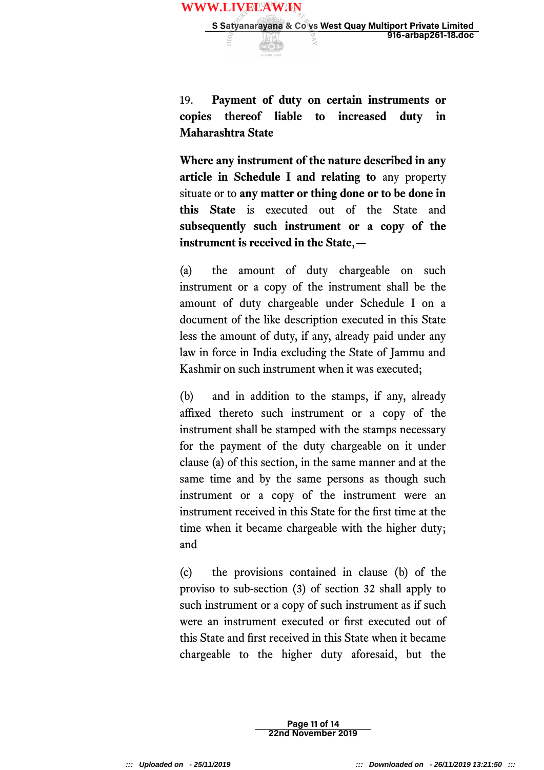

**Where any instrument of the nature described in any article in Schedule I and relating to** any property situate or to **any matter or thing done or to be done in this State** is executed out of the State and **subsequently such instrument or a copy of the instrument is received in the State**,—

(a) the amount of duty chargeable on such instrument or a copy of the instrument shall be the amount of duty chargeable under Schedule I on a document of the like description executed in this State less the amount of duty, if any, already paid under any law in force in India excluding the State of Jammu and Kashmir on such instrument when it was executed;

(b) and in addition to the stamps, if any, already affixed thereto such instrument or a copy of the instrument shall be stamped with the stamps necessary for the payment of the duty chargeable on it under clause (a) of this section, in the same manner and at the same time and by the same persons as though such instrument or a copy of the instrument were an instrument received in this State for the frst time at the time when it became chargeable with the higher duty; and

(c) the provisions contained in clause (b) of the proviso to sub-section (3) of section 32 shall apply to such instrument or a copy of such instrument as if such were an instrument executed or frst executed out of this State and frst received in this State when it became chargeable to the higher duty aforesaid, but the

> Page 11 of 14 22nd November 2019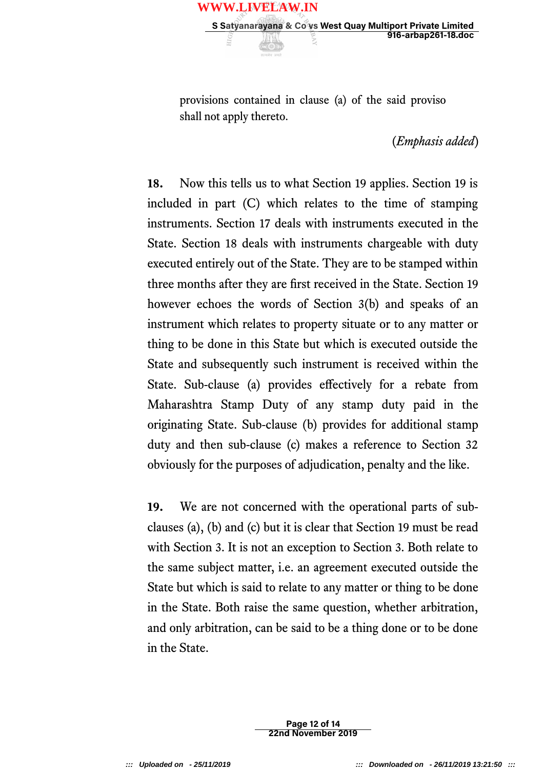provisions contained in clause (a) of the said proviso shall not apply thereto.

(*Emphasis added*)

**18.** Now this tells us to what Section 19 applies. Section 19 is included in part (C) which relates to the time of stamping instruments. Section 17 deals with instruments executed in the State. Section 18 deals with instruments chargeable with duty executed entirely out of the State. They are to be stamped within three months after they are frst received in the State. Section 19 however echoes the words of Section 3(b) and speaks of an instrument which relates to property situate or to any matter or thing to be done in this State but which is executed outside the State and subsequently such instrument is received within the State. Sub-clause (a) provides effectively for a rebate from Maharashtra Stamp Duty of any stamp duty paid in the originating State. Sub-clause (b) provides for additional stamp duty and then sub-clause (c) makes a reference to Section 32 obviously for the purposes of adjudication, penalty and the like.

19. We are not concerned with the operational parts of subclauses (a), (b) and (c) but it is clear that Section 19 must be read with Section 3. It is not an exception to Section 3. Both relate to the same subject matter, i.e. an agreement executed outside the State but which is said to relate to any matter or thing to be done in the State. Both raise the same question, whether arbitration, and only arbitration, can be said to be a thing done or to be done in the State.

> Page 12 of 14 22nd November 2019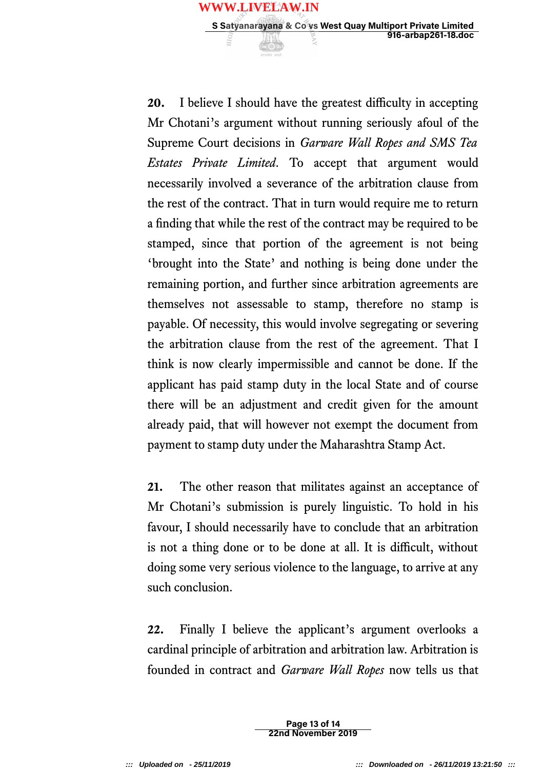

**21.** The other reason that militates against an acceptance of Mr Chotani's submission is purely linguistic. To hold in his favour, I should necessarily have to conclude that an arbitration is not a thing done or to be done at all. It is difficult, without doing some very serious violence to the language, to arrive at any such conclusion.

**22.** Finally I believe the applicant's argument overlooks a cardinal principle of arbitration and arbitration law. Arbitration is founded in contract and *Garware Wall Ropes* now tells us that

> Page 13 of 14 22nd November 2019